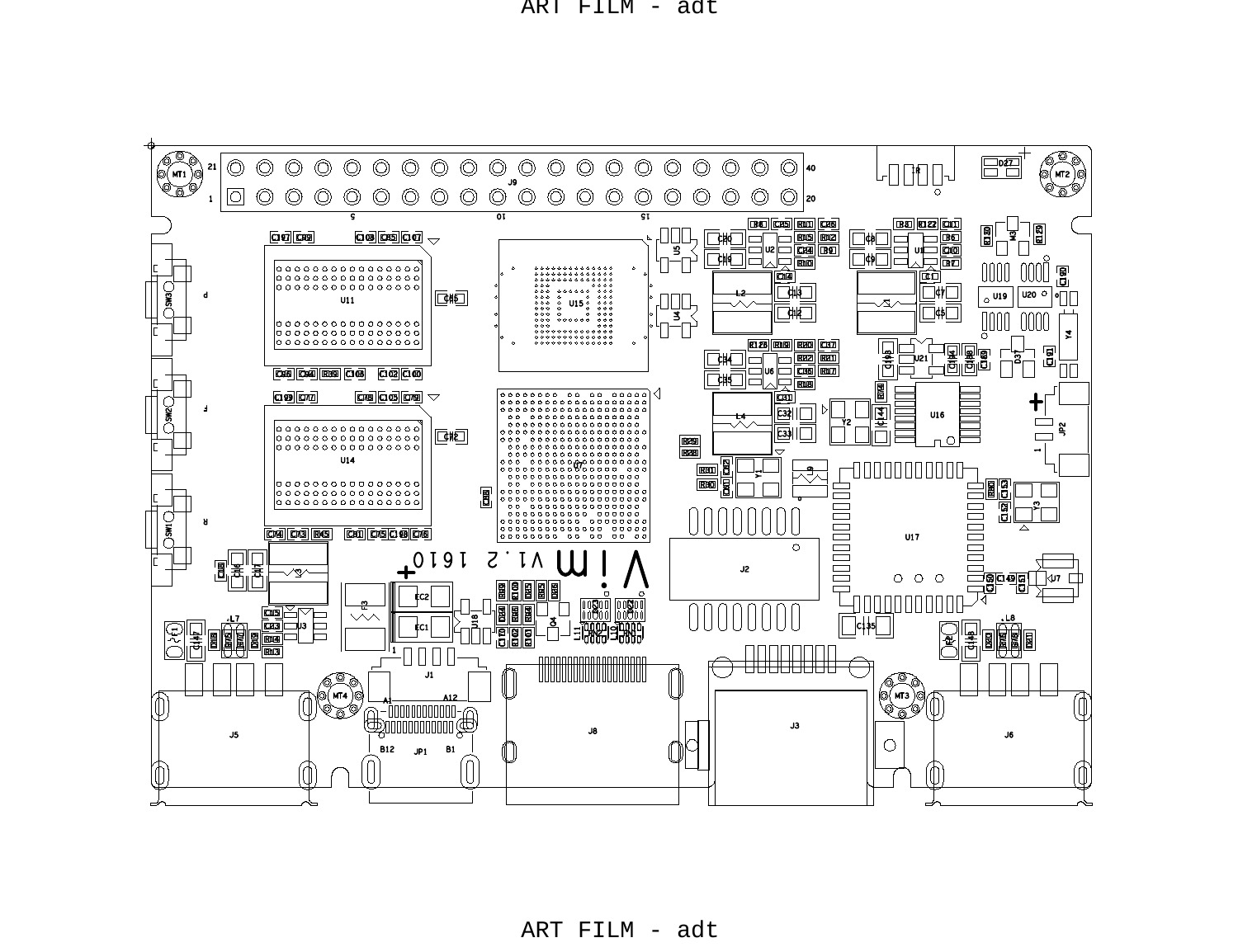